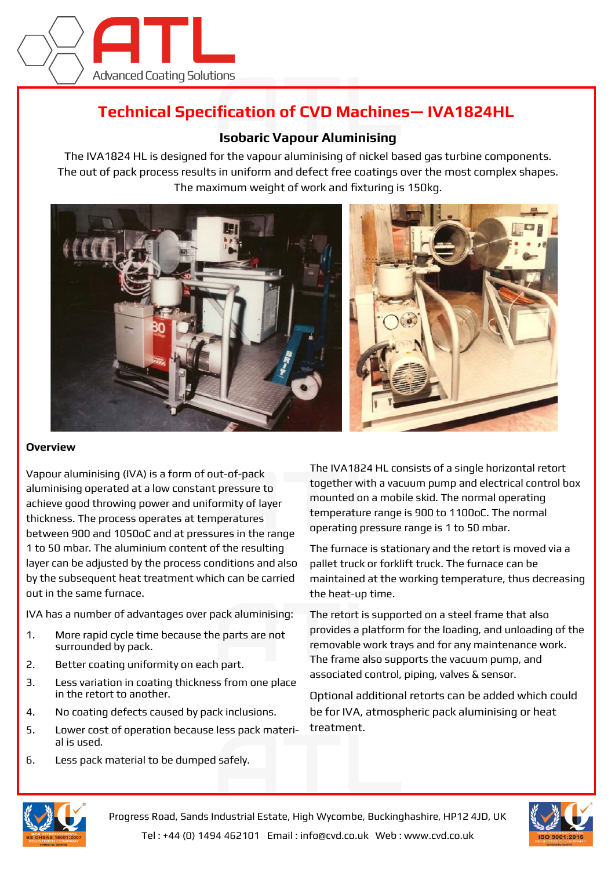

## **Technical Specification of CVD Machines— IVA1824HL**

## **Isobaric Vapour Aluminising**

The IVA1824 HL is designed for the vapour aluminising of nickel based gas turbine components. The out of pack process results in uniform and defect free coatings over the most complex shapes. The maximum weight of work and fixturing is 150kg.



## **Overview**

Vapour aluminising (IVA) is a form of out-of-pack aluminising operated at a low constant pressure to achieve good throwing power and uniformity of layer thickness. The process operates at temperatures between 900 and 1050oC and at pressures in the range 1 to 50 mbar. The aluminium content of the resulting layer can be adjusted by the process conditions and also by the subsequent heat treatment which can be carried out in the same furnace.

IVA has a number of advantages over pack aluminising:

- 1. More rapid cycle time because the parts are not surrounded by pack.
- 2. Better coating uniformity on each part.
- 3. Less variation in coating thickness from one place in the retort to another.
- 4. No coating defects caused by pack inclusions.
- 5. Lower cost of operation because less pack material is used.
- 6. Less pack material to be dumped safely.

The IVA1824 HL consists of a single horizontal retort together with a vacuum pump and electrical control box mounted on a mobile skid. The normal operating temperature range is 900 to 1100oC. The normal operating pressure range is 1 to 50 mbar.

The furnace is stationary and the retort is moved via a pallet truck or forklift truck. The furnace can be maintained at the working temperature, thus decreasing the heat-up time.

The retort is supported on a steel frame that also provides a platform for the loading, and unloading of the removable work trays and for any maintenance work. The frame also supports the vacuum pump, and associated control, piping, valves & sensor.

Optional additional retorts can be added which could be for IVA, atmospheric pack aluminising or heat treatment.